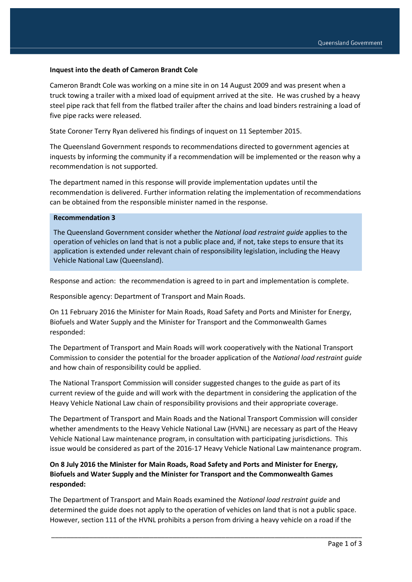#### **Inquest into the death of Cameron Brandt Cole**

Cameron Brandt Cole was working on a mine site in on 14 August 2009 and was present when a truck towing a trailer with a mixed load of equipment arrived at the site. He was crushed by a heavy steel pipe rack that fell from the flatbed trailer after the chains and load binders restraining a load of five pipe racks were released.

State Coroner Terry Ryan delivered his findings of inquest on 11 September 2015.

The Queensland Government responds to recommendations directed to government agencies at inquests by informing the community if a recommendation will be implemented or the reason why a recommendation is not supported.

The department named in this response will provide implementation updates until the recommendation is delivered. Further information relating the implementation of recommendations can be obtained from the responsible minister named in the response.

### **Recommendation 3**

The Queensland Government consider whether the *National load restraint guide* applies to the operation of vehicles on land that is not a public place and, if not, take steps to ensure that its application is extended under relevant chain of responsibility legislation, including the Heavy Vehicle National Law (Queensland).

Response and action: the recommendation is agreed to in part and implementation is complete.

Responsible agency: Department of Transport and Main Roads.

On 11 February 2016 the Minister for Main Roads, Road Safety and Ports and Minister for Energy, Biofuels and Water Supply and the Minister for Transport and the Commonwealth Games responded:

The Department of Transport and Main Roads will work cooperatively with the National Transport Commission to consider the potential for the broader application of the *National load restraint guide* and how chain of responsibility could be applied.

The National Transport Commission will consider suggested changes to the guide as part of its current review of the guide and will work with the department in considering the application of the Heavy Vehicle National Law chain of responsibility provisions and their appropriate coverage.

The Department of Transport and Main Roads and the National Transport Commission will consider whether amendments to the Heavy Vehicle National Law (HVNL) are necessary as part of the Heavy Vehicle National Law maintenance program, in consultation with participating jurisdictions. This issue would be considered as part of the 2016-17 Heavy Vehicle National Law maintenance program.

## **On 8 July 2016 the Minister for Main Roads, Road Safety and Ports and Minister for Energy, Biofuels and Water Supply and the Minister for Transport and the Commonwealth Games responded:**

The Department of Transport and Main Roads examined the *National load restraint guide* and determined the guide does not apply to the operation of vehicles on land that is not a public space. However, section 111 of the HVNL prohibits a person from driving a heavy vehicle on a road if the

\_\_\_\_\_\_\_\_\_\_\_\_\_\_\_\_\_\_\_\_\_\_\_\_\_\_\_\_\_\_\_\_\_\_\_\_\_\_\_\_\_\_\_\_\_\_\_\_\_\_\_\_\_\_\_\_\_\_\_\_\_\_\_\_\_\_\_\_\_\_\_\_\_\_\_\_\_\_\_\_\_\_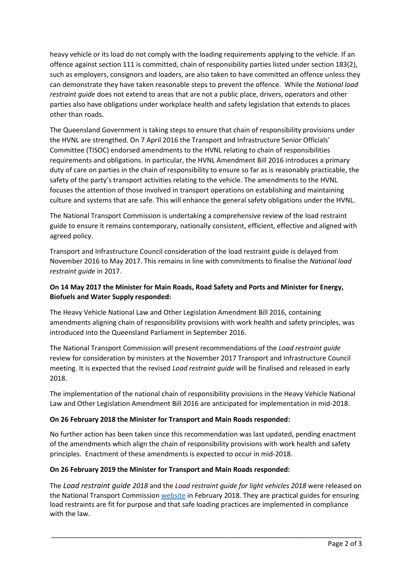heavy vehicle or its load do not comply with the loading requirements applying to the vehicle. If an offence against section 111 is committed, chain of responsibility parties listed under section 183(2), such as employers, consignors and loaders, are also taken to have committed an offence unless they can demonstrate they have taken reasonable steps to prevent the offence. While the *National load restraint guide* does not extend to areas that are not a public place, drivers, operators and other parties also have obligations under workplace health and safety legislation that extends to places other than roads.

The Queensland Government is taking steps to ensure that chain of responsibility provisions under the HVNL are strengthed. On 7 April 2016 the Transport and Infrastructure Senior Officials' Committee (TISOC) endorsed amendments to the HVNL relating to chain of responsibilities requirements and obligations. In particular, the HVNL Amendment Bill 2016 introduces a primary duty of care on parties in the chain of responsibility to ensure so far as is reasonably practicable, the safety of the party's transport activities relating to the vehicle. The amendments to the HVNL focuses the attention of those involved in transport operations on establishing and maintaining culture and systems that are safe. This will enhance the general safety obligations under the HVNL.

The National Transport Commission is undertaking a comprehensive review of the load restraint guide to ensure it remains contemporary, nationally consistent, efficient, effective and aligned with agreed policy.

Transport and Infrastructure Council consideration of the load restraint guide is delayed from November 2016 to May 2017. This remains in line with commitments to finalise the *National load restraint guide* in 2017.

# **On 14 May 2017 the Minister for Main Roads, Road Safety and Ports and Minister for Energy, Biofuels and Water Supply responded:**

The Heavy Vehicle National Law and Other Legislation Amendment Bill 2016, containing amendments aligning chain of responsibility provisions with work health and safety principles, was introduced into the Queensland Parliament in September 2016.

The National Transport Commission will present recommendations of the *Load restraint guide* review for consideration by ministers at the November 2017 Transport and Infrastructure Council meeting. It is expected that the revised *Load restraint guide* will be finalised and released in early 2018.

The implementation of the national chain of responsibility provisions in the Heavy Vehicle National Law and Other Legislation Amendment Bill 2016 are anticipated for implementation in mid-2018.

## **On 26 February 2018 the Minister for Transport and Main Roads responded:**

No further action has been taken since this recommendation was last updated, pending enactment of the amendments which align the chain of responsibility provisions with work health and safety principles. Enactment of these amendments is expected to occur in mid-2018.

## **On 26 February 2019 the Minister for Transport and Main Roads responded:**

The *Load restraint guide 2018* and the *Load restraint guide for light vehicles 2018* were released on the National Transport Commission [website](https://www.ntc.gov.au/heavy-vehicles/safety/load-restraint-guide/) in February 2018. They are practical guides for ensuring load restraints are fit for purpose and that safe loading practices are implemented in compliance with the law.

\_\_\_\_\_\_\_\_\_\_\_\_\_\_\_\_\_\_\_\_\_\_\_\_\_\_\_\_\_\_\_\_\_\_\_\_\_\_\_\_\_\_\_\_\_\_\_\_\_\_\_\_\_\_\_\_\_\_\_\_\_\_\_\_\_\_\_\_\_\_\_\_\_\_\_\_\_\_\_\_\_\_